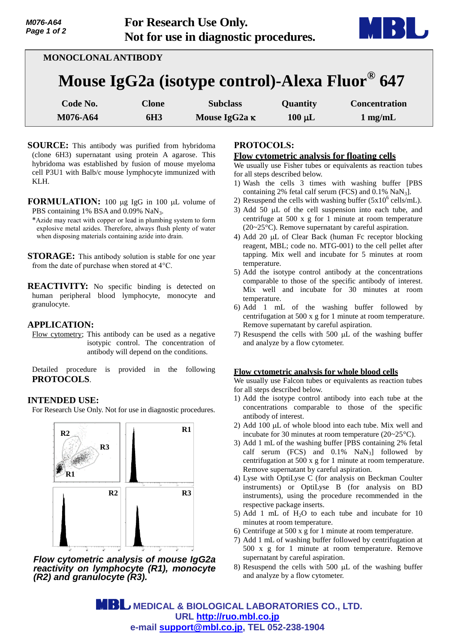

| <b>MONOCLONAL ANTIBODY</b>                     |                 |                      |             |                      |
|------------------------------------------------|-----------------|----------------------|-------------|----------------------|
| Mouse IgG2a (isotype control)-Alexa Fluor® 647 |                 |                      |             |                      |
| Code No.                                       | <b>Clone</b>    | <b>Subclass</b>      | Quantity    | <b>Concentration</b> |
| M076-A64                                       | 6H <sub>3</sub> | Mouse IgG2a $\kappa$ | $100 \mu L$ | $1 \text{ mg/mL}$    |

- **SOURCE:** This antibody was purified from hybridoma (clone 6H3) supernatant using protein A agarose. This hybridoma was established by fusion of mouse myeloma cell P3U1 with Balb/c mouse lymphocyte immunized with KLH.
- **FORMULATION:** 100 µg IgG in 100 µL volume of PBS containing 1% BSA and 0.09% NaN<sub>3</sub>.
- \*Azide may react with copper or lead in plumbing system to form explosive metal azides. Therefore, always flush plenty of water when disposing materials containing azide into drain.
- **STORAGE:** This antibody solution is stable for one year from the date of purchase when stored at 4°C.
- **REACTIVITY:** No specific binding is detected on human peripheral blood lymphocyte, monocyte and granulocyte.

### **APPLICATION:**

Flow cytometry; This antibody can be used as a negative isotypic control. The concentration of antibody will depend on the conditions.

Detailed procedure is provided in the following **PROTOCOLS**.

## **INTENDED USE:**

For Research Use Only. Not for use in diagnostic procedures.



*Flow cytometric analysis of mouse IgG2a reactivity on lymphocyte (R1), monocyte (R2) and granulocyte (R3).*

# **PROTOCOLS:**

#### **Flow cytometric analysis for floating cells**

We usually use Fisher tubes or equivalents as reaction tubes for all steps described below.

- 1) Wash the cells 3 times with washing buffer [PBS containing 2% fetal calf serum (FCS) and  $0.1\%$  NaN<sub>3</sub>].
- 2) Resuspend the cells with washing buffer  $(5x10^6 \text{ cells/mL})$ .
- 3) Add 50  $\mu$ L of the cell suspension into each tube, and centrifuge at 500 x g for 1 minute at room temperature (20~25°C). Remove supernatant by careful aspiration.
- 4) Add 20  $\mu$ L of Clear Back (human Fc receptor blocking reagent, MBL; code no. MTG-001) to the cell pellet after tapping. Mix well and incubate for 5 minutes at room temperature.
- 5) Add the isotype control antibody at the concentrations comparable to those of the specific antibody of interest. Mix well and incubate for 30 minutes at room temperature.
- 6) Add 1 mL of the washing buffer followed by centrifugation at 500 x g for 1 minute at room temperature. Remove supernatant by careful aspiration.
- 7) Resuspend the cells with 500  $\mu$ L of the washing buffer and analyze by a flow cytometer.

#### **Flow cytometric analysis for whole blood cells**

We usually use Falcon tubes or equivalents as reaction tubes for all steps described below.

- 1) Add the isotype control antibody into each tube at the concentrations comparable to those of the specific antibody of interest.
- 2) Add 100  $\mu$ L of whole blood into each tube. Mix well and incubate for 30 minutes at room temperature (20~25°C).
- 3) Add 1 mL of the washing buffer [PBS containing 2% fetal calf serum (FCS) and  $0.1\%$  NaN<sub>3</sub>] followed by centrifugation at 500 x g for 1 minute at room temperature. Remove supernatant by careful aspiration.
- 4) Lyse with OptiLyse C (for analysis on Beckman Coulter instruments) or OptiLyse B (for analysis on BD instruments), using the procedure recommended in the respective package inserts.
- 5) Add 1 mL of  $H<sub>2</sub>O$  to each tube and incubate for 10 minutes at room temperature.
- 6) Centrifuge at 500 x g for 1 minute at room temperature.
- 7) Add 1 mL of washing buffer followed by centrifugation at 500 x g for 1 minute at room temperature. Remove supernatant by careful aspiration.
- 8) Resuspend the cells with  $500 \mu L$  of the washing buffer and analyze by a flow cytometer.

 **MEDICAL & BIOLOGICAL LABORATORIES CO., LTD. URL http://ruo.mbl.co.jp e-mail support@mbl.co.jp, TEL 052-238-1904**